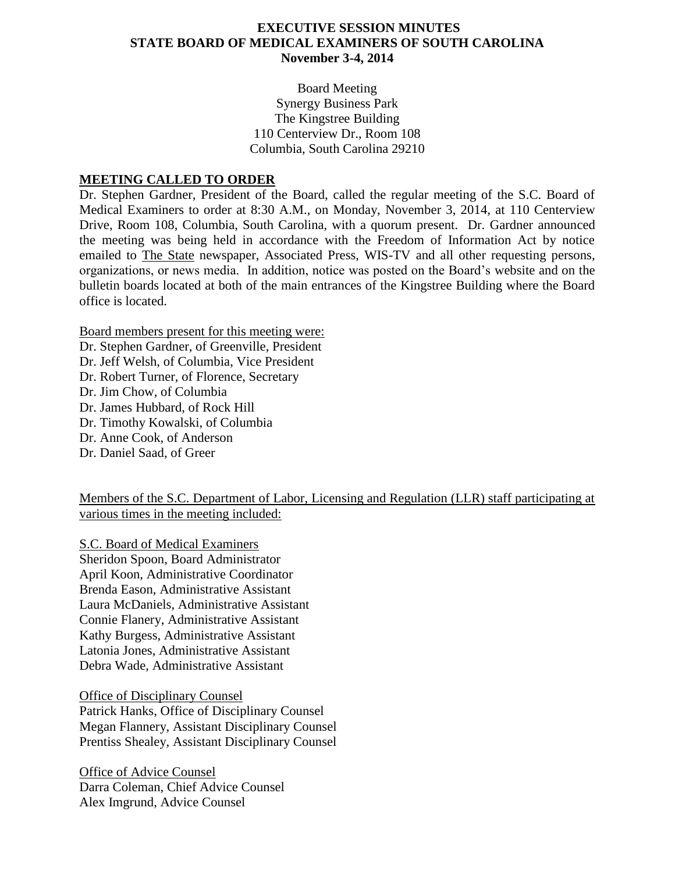### **EXECUTIVE SESSION MINUTES STATE BOARD OF MEDICAL EXAMINERS OF SOUTH CAROLINA November 3-4, 2014**

Board Meeting Synergy Business Park The Kingstree Building 110 Centerview Dr., Room 108 Columbia, South Carolina 29210

### **MEETING CALLED TO ORDER**

Dr. Stephen Gardner, President of the Board, called the regular meeting of the S.C. Board of Medical Examiners to order at 8:30 A.M., on Monday, November 3, 2014, at 110 Centerview Drive, Room 108, Columbia, South Carolina, with a quorum present. Dr. Gardner announced the meeting was being held in accordance with the Freedom of Information Act by notice emailed to The State newspaper, Associated Press, WIS-TV and all other requesting persons, organizations, or news media. In addition, notice was posted on the Board's website and on the bulletin boards located at both of the main entrances of the Kingstree Building where the Board office is located.

Board members present for this meeting were:

Dr. Stephen Gardner, of Greenville, President Dr. Jeff Welsh, of Columbia, Vice President Dr. Robert Turner, of Florence, Secretary Dr. Jim Chow, of Columbia Dr. James Hubbard, of Rock Hill Dr. Timothy Kowalski, of Columbia Dr. Anne Cook, of Anderson Dr. Daniel Saad, of Greer

Members of the S.C. Department of Labor, Licensing and Regulation (LLR) staff participating at various times in the meeting included:

S.C. Board of Medical Examiners Sheridon Spoon, Board Administrator April Koon, Administrative Coordinator Brenda Eason, Administrative Assistant Laura McDaniels, Administrative Assistant Connie Flanery, Administrative Assistant Kathy Burgess, Administrative Assistant Latonia Jones, Administrative Assistant Debra Wade, Administrative Assistant

Office of Disciplinary Counsel Patrick Hanks, Office of Disciplinary Counsel

Megan Flannery, Assistant Disciplinary Counsel Prentiss Shealey, Assistant Disciplinary Counsel

Office of Advice Counsel Darra Coleman, Chief Advice Counsel Alex Imgrund, Advice Counsel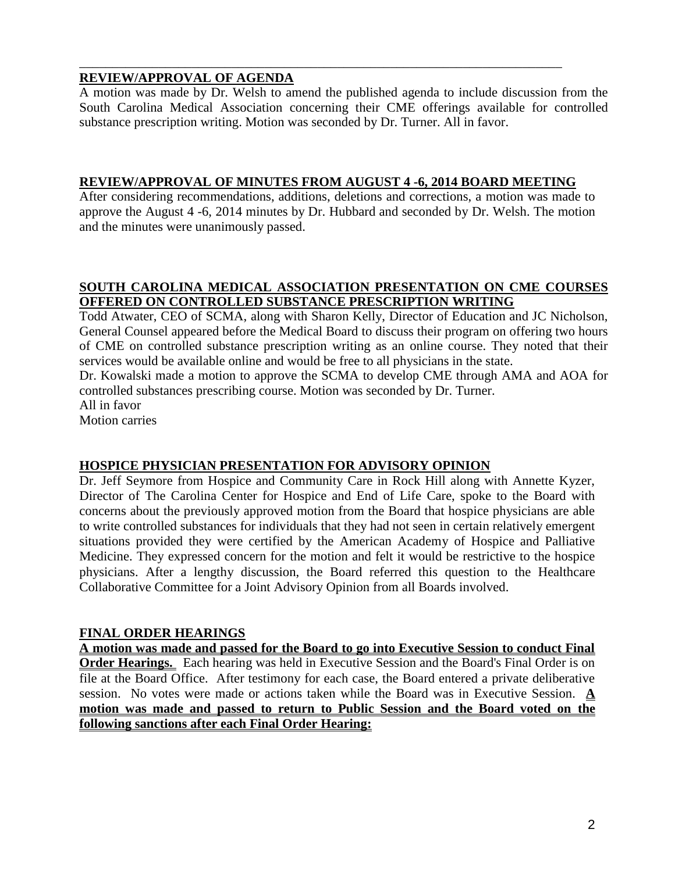# **REVIEW/APPROVAL OF AGENDA**

A motion was made by Dr. Welsh to amend the published agenda to include discussion from the South Carolina Medical Association concerning their CME offerings available for controlled substance prescription writing. Motion was seconded by Dr. Turner. All in favor.

### **REVIEW/APPROVAL OF MINUTES FROM AUGUST 4 -6, 2014 BOARD MEETING**

\_\_\_\_\_\_\_\_\_\_\_\_\_\_\_\_\_\_\_\_\_\_\_\_\_\_\_\_\_\_\_\_\_\_\_\_\_\_\_\_\_\_\_\_\_\_\_\_\_\_\_\_\_\_\_\_\_\_\_\_\_\_\_\_\_\_\_\_\_\_\_\_\_

After considering recommendations, additions, deletions and corrections, a motion was made to approve the August 4 -6, 2014 minutes by Dr. Hubbard and seconded by Dr. Welsh. The motion and the minutes were unanimously passed.

# **SOUTH CAROLINA MEDICAL ASSOCIATION PRESENTATION ON CME COURSES OFFERED ON CONTROLLED SUBSTANCE PRESCRIPTION WRITING**

Todd Atwater, CEO of SCMA, along with Sharon Kelly, Director of Education and JC Nicholson, General Counsel appeared before the Medical Board to discuss their program on offering two hours of CME on controlled substance prescription writing as an online course. They noted that their services would be available online and would be free to all physicians in the state.

Dr. Kowalski made a motion to approve the SCMA to develop CME through AMA and AOA for controlled substances prescribing course. Motion was seconded by Dr. Turner. All in favor

Motion carries

# **HOSPICE PHYSICIAN PRESENTATION FOR ADVISORY OPINION**

Dr. Jeff Seymore from Hospice and Community Care in Rock Hill along with Annette Kyzer, Director of The Carolina Center for Hospice and End of Life Care, spoke to the Board with concerns about the previously approved motion from the Board that hospice physicians are able to write controlled substances for individuals that they had not seen in certain relatively emergent situations provided they were certified by the American Academy of Hospice and Palliative Medicine. They expressed concern for the motion and felt it would be restrictive to the hospice physicians. After a lengthy discussion, the Board referred this question to the Healthcare Collaborative Committee for a Joint Advisory Opinion from all Boards involved.

### **FINAL ORDER HEARINGS**

**A motion was made and passed for the Board to go into Executive Session to conduct Final Order Hearings.** Each hearing was held in Executive Session and the Board's Final Order is on file at the Board Office. After testimony for each case, the Board entered a private deliberative session. No votes were made or actions taken while the Board was in Executive Session. **A motion was made and passed to return to Public Session and the Board voted on the following sanctions after each Final Order Hearing:**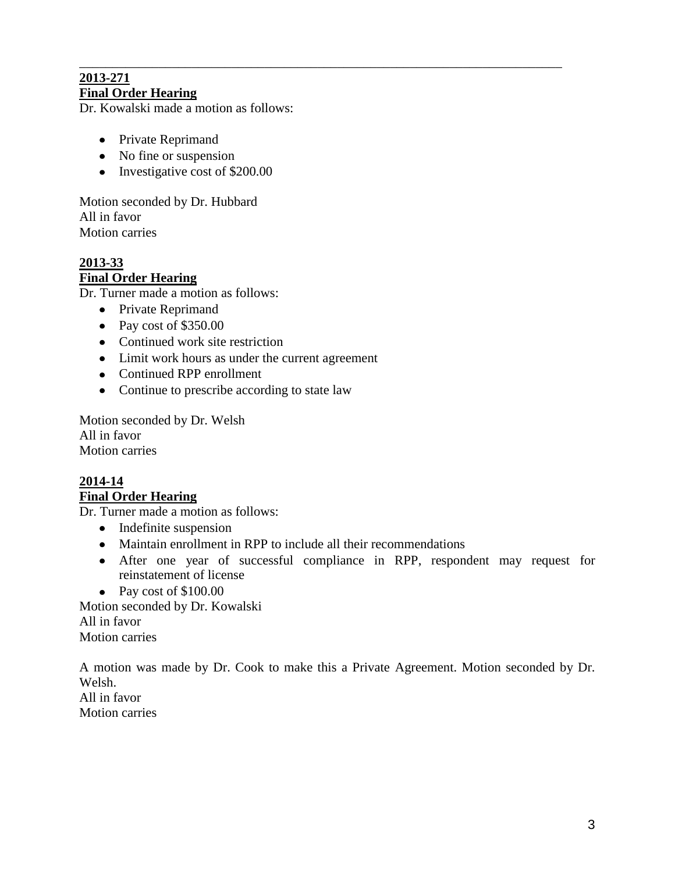### \_\_\_\_\_\_\_\_\_\_\_\_\_\_\_\_\_\_\_\_\_\_\_\_\_\_\_\_\_\_\_\_\_\_\_\_\_\_\_\_\_\_\_\_\_\_\_\_\_\_\_\_\_\_\_\_\_\_\_\_\_\_\_\_\_\_\_\_\_\_\_\_\_ **2013-271 Final Order Hearing**

Dr. Kowalski made a motion as follows:

- Private Reprimand
- No fine or suspension
- $\bullet$  Investigative cost of \$200.00

Motion seconded by Dr. Hubbard All in favor Motion carries

# **2013-33 Final Order Hearing**

Dr. Turner made a motion as follows:

- Private Reprimand
- Pay cost of \$350.00
- Continued work site restriction
- Limit work hours as under the current agreement
- Continued RPP enrollment
- Continue to prescribe according to state law

Motion seconded by Dr. Welsh All in favor Motion carries

# **2014-14 Final Order Hearing**

Dr. Turner made a motion as follows:

- Indefinite suspension
- Maintain enrollment in RPP to include all their recommendations
- After one year of successful compliance in RPP, respondent may request for reinstatement of license
- Pay cost of \$100.00

Motion seconded by Dr. Kowalski All in favor Motion carries

A motion was made by Dr. Cook to make this a Private Agreement. Motion seconded by Dr. Welsh. All in favor Motion carries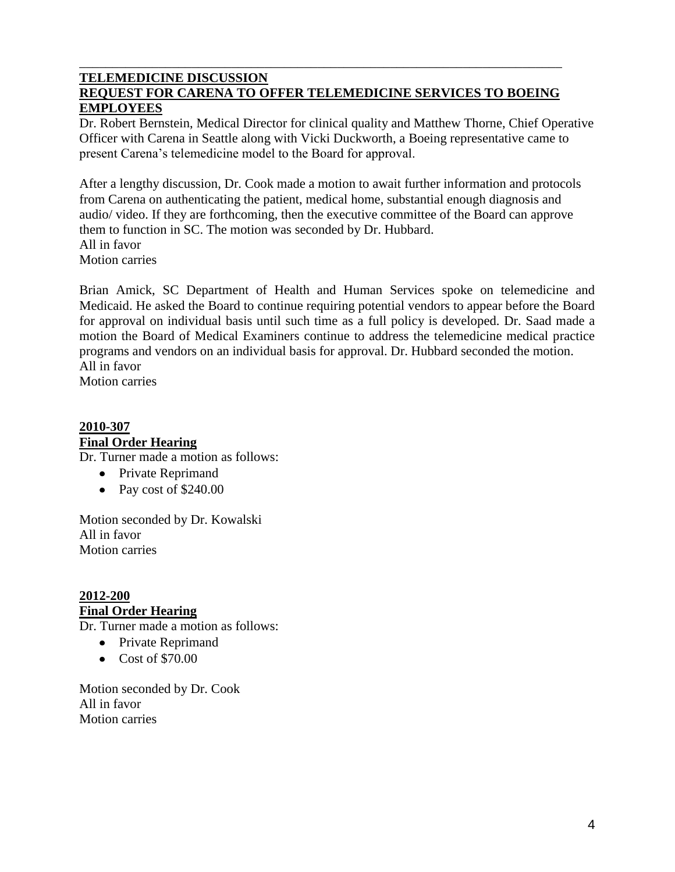### **TELEMEDICINE DISCUSSION REQUEST FOR CARENA TO OFFER TELEMEDICINE SERVICES TO BOEING EMPLOYEES**

\_\_\_\_\_\_\_\_\_\_\_\_\_\_\_\_\_\_\_\_\_\_\_\_\_\_\_\_\_\_\_\_\_\_\_\_\_\_\_\_\_\_\_\_\_\_\_\_\_\_\_\_\_\_\_\_\_\_\_\_\_\_\_\_\_\_\_\_\_\_\_\_\_

Dr. Robert Bernstein, Medical Director for clinical quality and Matthew Thorne, Chief Operative Officer with Carena in Seattle along with Vicki Duckworth, a Boeing representative came to present Carena's telemedicine model to the Board for approval.

After a lengthy discussion, Dr. Cook made a motion to await further information and protocols from Carena on authenticating the patient, medical home, substantial enough diagnosis and audio/ video. If they are forthcoming, then the executive committee of the Board can approve them to function in SC. The motion was seconded by Dr. Hubbard. All in favor Motion carries

Brian Amick, SC Department of Health and Human Services spoke on telemedicine and Medicaid. He asked the Board to continue requiring potential vendors to appear before the Board for approval on individual basis until such time as a full policy is developed. Dr. Saad made a motion the Board of Medical Examiners continue to address the telemedicine medical practice programs and vendors on an individual basis for approval. Dr. Hubbard seconded the motion. All in favor

Motion carries

# **2010-307 Final Order Hearing**

Dr. Turner made a motion as follows:

- Private Reprimand
- Pay cost of \$240.00

Motion seconded by Dr. Kowalski All in favor Motion carries

**2012-200 Final Order Hearing**

Dr. Turner made a motion as follows:

- Private Reprimand
- Cost of \$70.00

Motion seconded by Dr. Cook All in favor Motion carries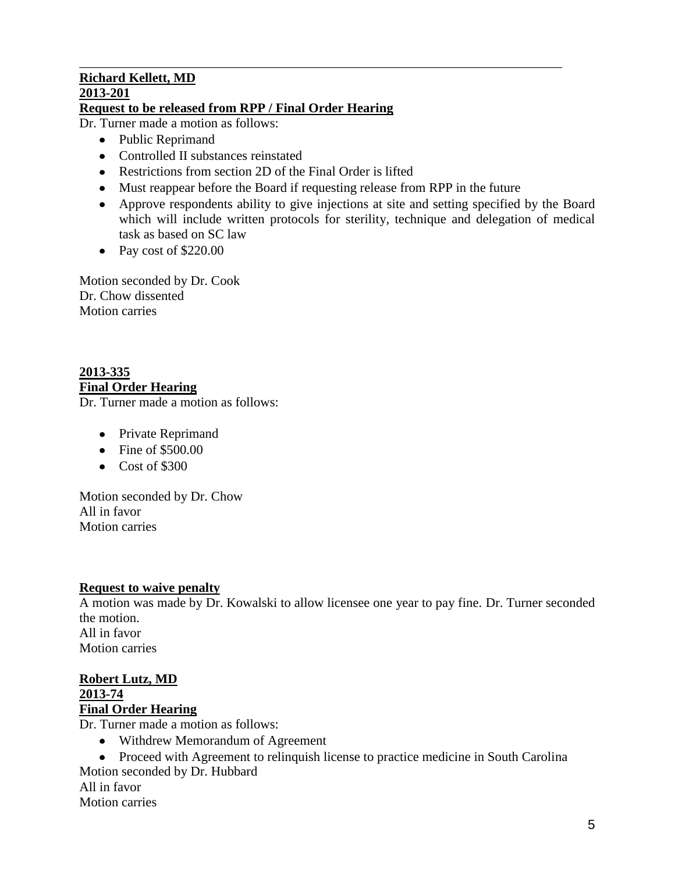### **Richard Kellett, MD 2013-201 Request to be released from RPP / Final Order Hearing**

Dr. Turner made a motion as follows:

- Public Reprimand
- Controlled II substances reinstated
- Restrictions from section 2D of the Final Order is lifted
- Must reappear before the Board if requesting release from RPP in the future

\_\_\_\_\_\_\_\_\_\_\_\_\_\_\_\_\_\_\_\_\_\_\_\_\_\_\_\_\_\_\_\_\_\_\_\_\_\_\_\_\_\_\_\_\_\_\_\_\_\_\_\_\_\_\_\_\_\_\_\_\_\_\_\_\_\_\_\_\_\_\_\_\_

- Approve respondents ability to give injections at site and setting specified by the Board which will include written protocols for sterility, technique and delegation of medical task as based on SC law
- Pay cost of  $$220.00$

Motion seconded by Dr. Cook Dr. Chow dissented Motion carries

# **2013-335 Final Order Hearing**

Dr. Turner made a motion as follows:

- Private Reprimand
- Fine of \$500.00
- $\bullet$  Cost of \$300

Motion seconded by Dr. Chow All in favor Motion carries

# **Request to waive penalty**

A motion was made by Dr. Kowalski to allow licensee one year to pay fine. Dr. Turner seconded the motion. All in favor Motion carries

### **Robert Lutz, MD 2013-74 Final Order Hearing**

Dr. Turner made a motion as follows:

Withdrew Memorandum of Agreement

• Proceed with Agreement to relinquish license to practice medicine in South Carolina Motion seconded by Dr. Hubbard All in favor

Motion carries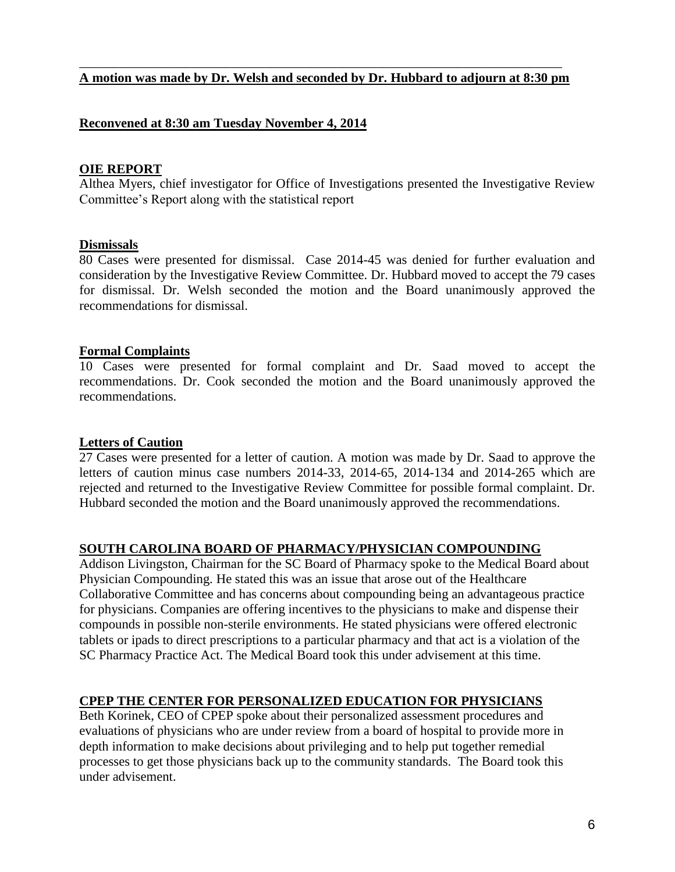### \_\_\_\_\_\_\_\_\_\_\_\_\_\_\_\_\_\_\_\_\_\_\_\_\_\_\_\_\_\_\_\_\_\_\_\_\_\_\_\_\_\_\_\_\_\_\_\_\_\_\_\_\_\_\_\_\_\_\_\_\_\_\_\_\_\_\_\_\_\_\_\_\_ **A motion was made by Dr. Welsh and seconded by Dr. Hubbard to adjourn at 8:30 pm**

### **Reconvened at 8:30 am Tuesday November 4, 2014**

### **OIE REPORT**

Althea Myers, chief investigator for Office of Investigations presented the Investigative Review Committee's Report along with the statistical report

### **Dismissals**

80 Cases were presented for dismissal. Case 2014-45 was denied for further evaluation and consideration by the Investigative Review Committee. Dr. Hubbard moved to accept the 79 cases for dismissal. Dr. Welsh seconded the motion and the Board unanimously approved the recommendations for dismissal.

### **Formal Complaints**

10 Cases were presented for formal complaint and Dr. Saad moved to accept the recommendations. Dr. Cook seconded the motion and the Board unanimously approved the recommendations.

### **Letters of Caution**

27 Cases were presented for a letter of caution. A motion was made by Dr. Saad to approve the letters of caution minus case numbers 2014-33, 2014-65, 2014-134 and 2014-265 which are rejected and returned to the Investigative Review Committee for possible formal complaint. Dr. Hubbard seconded the motion and the Board unanimously approved the recommendations.

# **SOUTH CAROLINA BOARD OF PHARMACY/PHYSICIAN COMPOUNDING**

Addison Livingston, Chairman for the SC Board of Pharmacy spoke to the Medical Board about Physician Compounding. He stated this was an issue that arose out of the Healthcare Collaborative Committee and has concerns about compounding being an advantageous practice for physicians. Companies are offering incentives to the physicians to make and dispense their compounds in possible non-sterile environments. He stated physicians were offered electronic tablets or ipads to direct prescriptions to a particular pharmacy and that act is a violation of the SC Pharmacy Practice Act. The Medical Board took this under advisement at this time.

# **CPEP THE CENTER FOR PERSONALIZED EDUCATION FOR PHYSICIANS**

Beth Korinek, CEO of CPEP spoke about their personalized assessment procedures and evaluations of physicians who are under review from a board of hospital to provide more in depth information to make decisions about privileging and to help put together remedial processes to get those physicians back up to the community standards. The Board took this under advisement.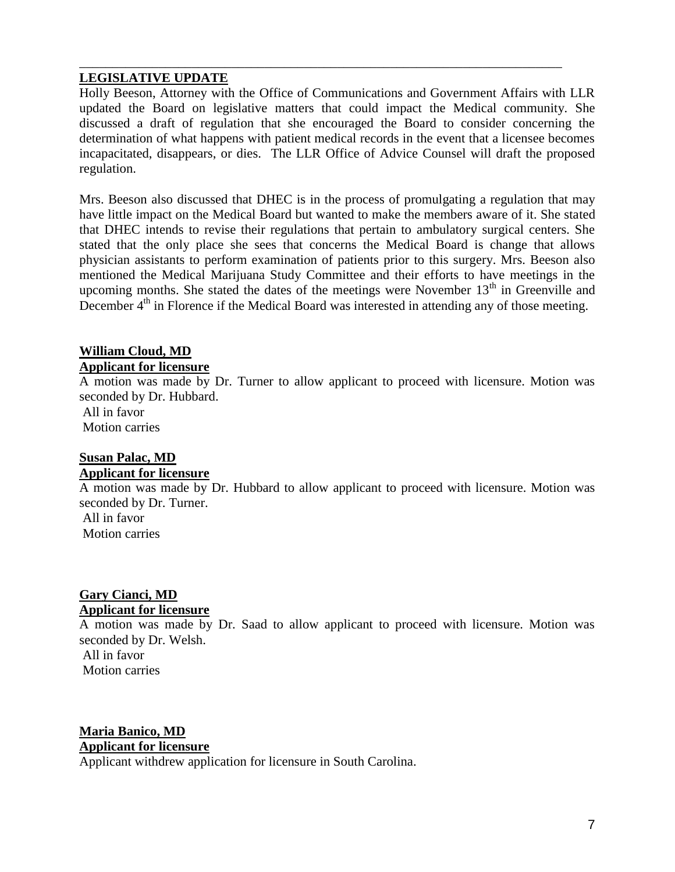### **LEGISLATIVE UPDATE**

Holly Beeson, Attorney with the Office of Communications and Government Affairs with LLR updated the Board on legislative matters that could impact the Medical community. She discussed a draft of regulation that she encouraged the Board to consider concerning the determination of what happens with patient medical records in the event that a licensee becomes incapacitated, disappears, or dies. The LLR Office of Advice Counsel will draft the proposed regulation.

\_\_\_\_\_\_\_\_\_\_\_\_\_\_\_\_\_\_\_\_\_\_\_\_\_\_\_\_\_\_\_\_\_\_\_\_\_\_\_\_\_\_\_\_\_\_\_\_\_\_\_\_\_\_\_\_\_\_\_\_\_\_\_\_\_\_\_\_\_\_\_\_\_

Mrs. Beeson also discussed that DHEC is in the process of promulgating a regulation that may have little impact on the Medical Board but wanted to make the members aware of it. She stated that DHEC intends to revise their regulations that pertain to ambulatory surgical centers. She stated that the only place she sees that concerns the Medical Board is change that allows physician assistants to perform examination of patients prior to this surgery. Mrs. Beeson also mentioned the Medical Marijuana Study Committee and their efforts to have meetings in the upcoming months. She stated the dates of the meetings were November  $13<sup>th</sup>$  in Greenville and December  $4<sup>th</sup>$  in Florence if the Medical Board was interested in attending any of those meeting.

### **William Cloud, MD Applicant for licensure**

A motion was made by Dr. Turner to allow applicant to proceed with licensure. Motion was seconded by Dr. Hubbard. All in favor Motion carries

#### **Susan Palac, MD Applicant for licensure**

A motion was made by Dr. Hubbard to allow applicant to proceed with licensure. Motion was seconded by Dr. Turner. All in favor

Motion carries

### **Gary Cianci, MD Applicant for licensure**

A motion was made by Dr. Saad to allow applicant to proceed with licensure. Motion was seconded by Dr. Welsh.

All in favor Motion carries

# **Maria Banico, MD Applicant for licensure**

Applicant withdrew application for licensure in South Carolina.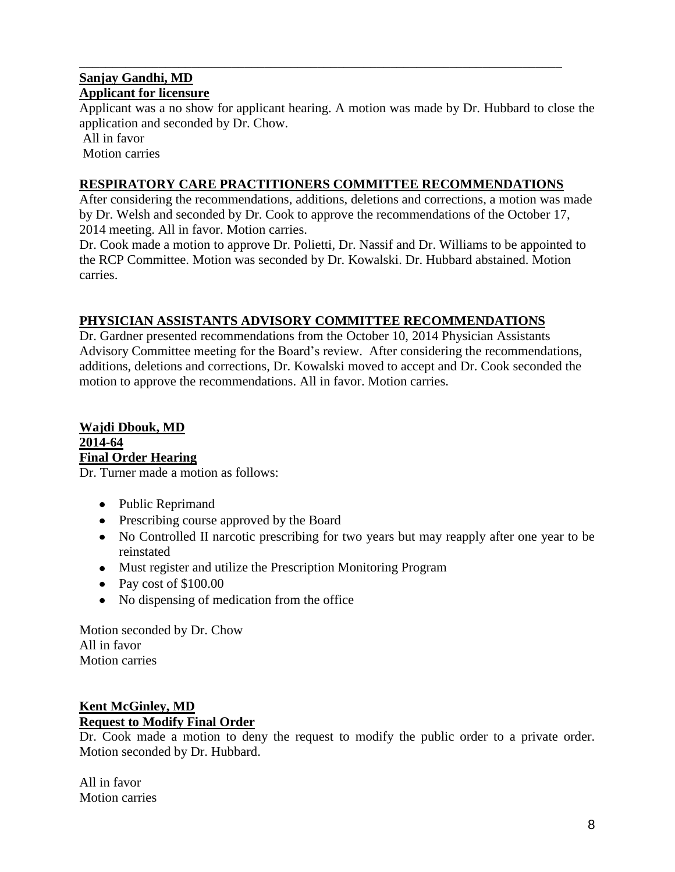# **Sanjay Gandhi, MD Applicant for licensure**

Applicant was a no show for applicant hearing. A motion was made by Dr. Hubbard to close the application and seconded by Dr. Chow.

All in favor

Motion carries

# **RESPIRATORY CARE PRACTITIONERS COMMITTEE RECOMMENDATIONS**

\_\_\_\_\_\_\_\_\_\_\_\_\_\_\_\_\_\_\_\_\_\_\_\_\_\_\_\_\_\_\_\_\_\_\_\_\_\_\_\_\_\_\_\_\_\_\_\_\_\_\_\_\_\_\_\_\_\_\_\_\_\_\_\_\_\_\_\_\_\_\_\_\_

After considering the recommendations, additions, deletions and corrections, a motion was made by Dr. Welsh and seconded by Dr. Cook to approve the recommendations of the October 17, 2014 meeting. All in favor. Motion carries.

Dr. Cook made a motion to approve Dr. Polietti, Dr. Nassif and Dr. Williams to be appointed to the RCP Committee. Motion was seconded by Dr. Kowalski. Dr. Hubbard abstained. Motion carries.

# **PHYSICIAN ASSISTANTS ADVISORY COMMITTEE RECOMMENDATIONS**

Dr. Gardner presented recommendations from the October 10, 2014 Physician Assistants Advisory Committee meeting for the Board's review. After considering the recommendations, additions, deletions and corrections, Dr. Kowalski moved to accept and Dr. Cook seconded the motion to approve the recommendations. All in favor. Motion carries.

# **Wajdi Dbouk, MD 2014-64 Final Order Hearing**

Dr. Turner made a motion as follows:

- Public Reprimand
- Prescribing course approved by the Board
- No Controlled II narcotic prescribing for two years but may reapply after one year to be reinstated
- Must register and utilize the Prescription Monitoring Program
- Pay cost of  $$100.00$
- No dispensing of medication from the office

Motion seconded by Dr. Chow All in favor Motion carries

# **Kent McGinley, MD Request to Modify Final Order**

Dr. Cook made a motion to deny the request to modify the public order to a private order. Motion seconded by Dr. Hubbard.

All in favor Motion carries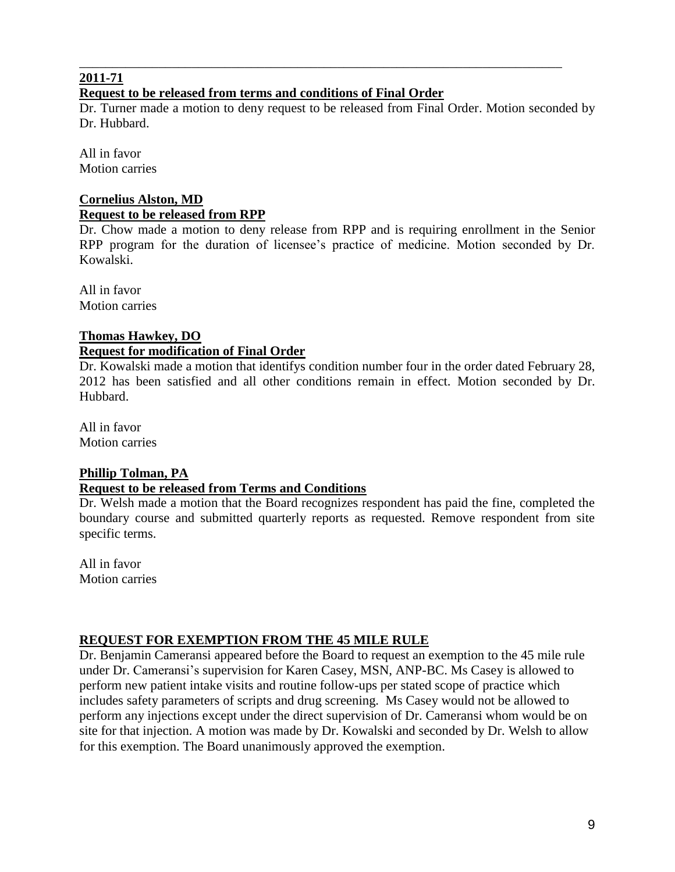# **2011-71**

# **Request to be released from terms and conditions of Final Order**

Dr. Turner made a motion to deny request to be released from Final Order. Motion seconded by Dr. Hubbard.

\_\_\_\_\_\_\_\_\_\_\_\_\_\_\_\_\_\_\_\_\_\_\_\_\_\_\_\_\_\_\_\_\_\_\_\_\_\_\_\_\_\_\_\_\_\_\_\_\_\_\_\_\_\_\_\_\_\_\_\_\_\_\_\_\_\_\_\_\_\_\_\_\_

All in favor Motion carries

### **Cornelius Alston, MD Request to be released from RPP**

Dr. Chow made a motion to deny release from RPP and is requiring enrollment in the Senior RPP program for the duration of licensee's practice of medicine. Motion seconded by Dr. Kowalski.

All in favor Motion carries

# **Thomas Hawkey, DO**

# **Request for modification of Final Order**

Dr. Kowalski made a motion that identifys condition number four in the order dated February 28, 2012 has been satisfied and all other conditions remain in effect. Motion seconded by Dr. Hubbard.

All in favor Motion carries

# **Phillip Tolman, PA**

# **Request to be released from Terms and Conditions**

Dr. Welsh made a motion that the Board recognizes respondent has paid the fine, completed the boundary course and submitted quarterly reports as requested. Remove respondent from site specific terms.

All in favor Motion carries

# **REQUEST FOR EXEMPTION FROM THE 45 MILE RULE**

Dr. Benjamin Cameransi appeared before the Board to request an exemption to the 45 mile rule under Dr. Cameransi's supervision for Karen Casey, MSN, ANP-BC. Ms Casey is allowed to perform new patient intake visits and routine follow-ups per stated scope of practice which includes safety parameters of scripts and drug screening. Ms Casey would not be allowed to perform any injections except under the direct supervision of Dr. Cameransi whom would be on site for that injection. A motion was made by Dr. Kowalski and seconded by Dr. Welsh to allow for this exemption. The Board unanimously approved the exemption.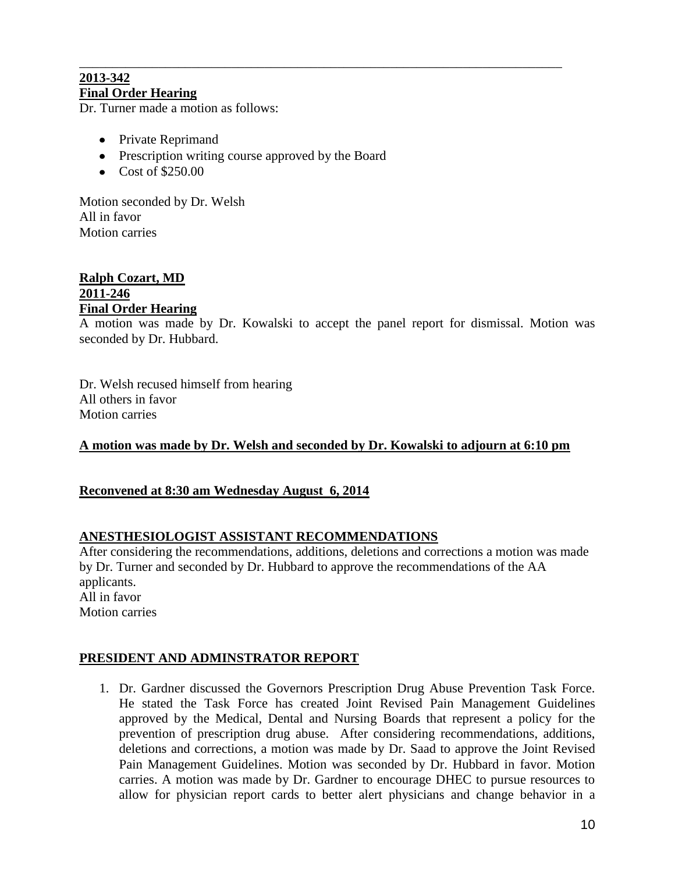### \_\_\_\_\_\_\_\_\_\_\_\_\_\_\_\_\_\_\_\_\_\_\_\_\_\_\_\_\_\_\_\_\_\_\_\_\_\_\_\_\_\_\_\_\_\_\_\_\_\_\_\_\_\_\_\_\_\_\_\_\_\_\_\_\_\_\_\_\_\_\_\_\_ **2013-342 Final Order Hearing**

Dr. Turner made a motion as follows:

- Private Reprimand
- Prescription writing course approved by the Board
- $\bullet$  Cost of \$250.00

Motion seconded by Dr. Welsh All in favor Motion carries

### **Ralph Cozart, MD 2011-246 Final Order Hearing**

A motion was made by Dr. Kowalski to accept the panel report for dismissal. Motion was seconded by Dr. Hubbard.

Dr. Welsh recused himself from hearing All others in favor Motion carries

# **A motion was made by Dr. Welsh and seconded by Dr. Kowalski to adjourn at 6:10 pm**

### **Reconvened at 8:30 am Wednesday August 6, 2014**

### **ANESTHESIOLOGIST ASSISTANT RECOMMENDATIONS**

After considering the recommendations, additions, deletions and corrections a motion was made by Dr. Turner and seconded by Dr. Hubbard to approve the recommendations of the AA applicants. All in favor Motion carries

# **PRESIDENT AND ADMINSTRATOR REPORT**

1. Dr. Gardner discussed the Governors Prescription Drug Abuse Prevention Task Force. He stated the Task Force has created Joint Revised Pain Management Guidelines approved by the Medical, Dental and Nursing Boards that represent a policy for the prevention of prescription drug abuse. After considering recommendations, additions, deletions and corrections, a motion was made by Dr. Saad to approve the Joint Revised Pain Management Guidelines. Motion was seconded by Dr. Hubbard in favor. Motion carries. A motion was made by Dr. Gardner to encourage DHEC to pursue resources to allow for physician report cards to better alert physicians and change behavior in a